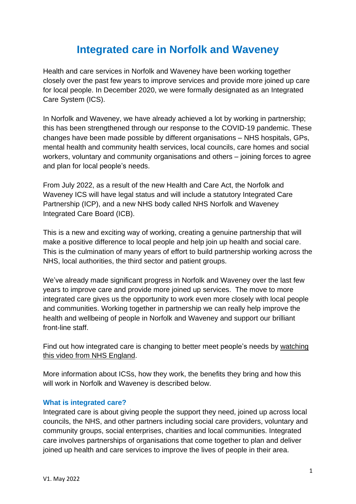# **Integrated care in Norfolk and Waveney**

Health and care services in Norfolk and Waveney have been working together closely over the past few years to improve services and provide more joined up care for local people. In December 2020, we were formally designated as an Integrated Care System (ICS).

In Norfolk and Waveney, we have already achieved a lot by working in partnership; this has been strengthened through our response to the COVID-19 pandemic. These changes have been made possible by different organisations – NHS hospitals, GPs, mental health and community health services, local councils, care homes and social workers, voluntary and community organisations and others – joining forces to agree and plan for local people's needs.

From July 2022, as a result of the new Health and Care Act, the Norfolk and Waveney ICS will have legal status and will include a statutory Integrated Care Partnership (ICP), and a new NHS body called NHS Norfolk and Waveney Integrated Care Board (ICB).

This is a new and exciting way of working, creating a genuine partnership that will make a positive difference to local people and help join up health and social care. This is the culmination of many years of effort to build partnership working across the NHS, local authorities, the third sector and patient groups.

We've already made significant progress in Norfolk and Waveney over the last few years to improve care and provide more joined up services. The move to more integrated care gives us the opportunity to work even more closely with local people and communities. Working together in partnership we can really help improve the health and wellbeing of people in Norfolk and Waveney and support our brilliant front-line staff.

Find out how integrated care is changing to better meet people's needs by [watching](https://youtube.com/watch?v=mz4FFE2y8PM&t=6s) this video from NHS [England.](https://youtube.com/watch?v=mz4FFE2y8PM&t=6s)

More information about ICSs, how they work, the benefits they bring and how this will work in Norfolk and Waveney is described below.

#### **What is integrated care?**

Integrated care is about giving people the support they need, joined up across local councils, the NHS, and other partners including social care providers, voluntary and community groups, social enterprises, charities and local communities. Integrated care involves partnerships of organisations that come together to plan and deliver joined up health and care services to improve the lives of people in their area.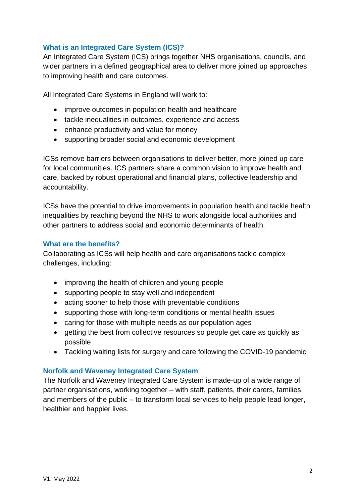# **What is an Integrated Care System (ICS)?**

An Integrated Care System (ICS) brings together NHS organisations, councils, and wider partners in a defined geographical area to deliver more joined up approaches to improving health and care outcomes.

All Integrated Care Systems in England will work to:

- improve outcomes in population health and healthcare
- tackle inequalities in outcomes, experience and access
- enhance productivity and value for money
- supporting broader social and economic development

ICSs remove barriers between organisations to deliver better, more joined up care for local communities. ICS partners share a common vision to improve health and care, backed by robust operational and financial plans, collective leadership and accountability.

ICSs have the potential to drive improvements in population health and tackle health inequalities by reaching beyond the NHS to work alongside local authorities and other partners to address social and economic determinants of health.

#### **What are the benefits?**

Collaborating as ICSs will help health and care organisations tackle complex challenges, including:

- improving the health of children and young people
- supporting people to stay well and independent
- acting sooner to help those with preventable conditions
- supporting those with long-term conditions or mental health issues
- caring for those with multiple needs as our population ages
- getting the best from collective resources so people get care as quickly as possible
- Tackling waiting lists for surgery and care following the COVID-19 pandemic

#### **Norfolk and Waveney Integrated Care System**

The Norfolk and Waveney Integrated Care System is made-up of a wide range of partner organisations, working together – with staff, patients, their carers, families, and members of the public – to transform local services to help people lead longer, healthier and happier lives.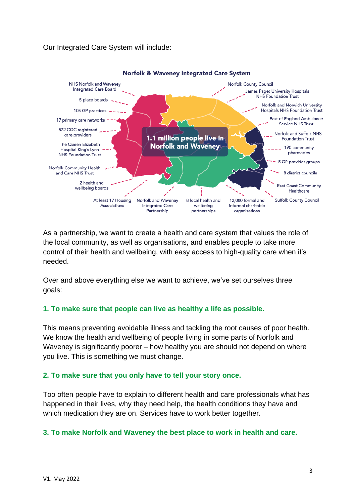# Our Integrated Care System will include:



As a partnership, we want to create a health and care system that values the role of the local community, as well as organisations, and enables people to take more control of their health and wellbeing, with easy access to high-quality care when it's needed.

Over and above everything else we want to achieve, we've set ourselves three goals:

# **1. To make sure that people can live as healthy a life as possible.**

This means preventing avoidable illness and tackling the root causes of poor health. We know the health and wellbeing of people living in some parts of Norfolk and Waveney is significantly poorer – how healthy you are should not depend on where you live. This is something we must change.

# **2. To make sure that you only have to tell your story once.**

Too often people have to explain to different health and care professionals what has happened in their lives, why they need help, the health conditions they have and which medication they are on. Services have to work better together.

# **3. To make Norfolk and Waveney the best place to work in health and care.**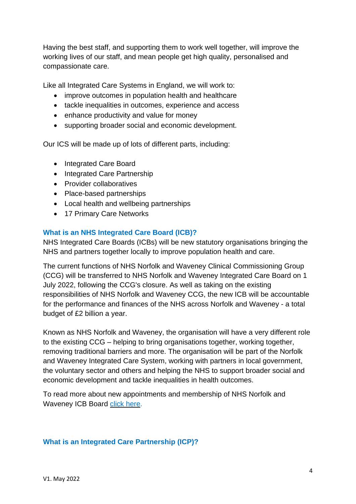Having the best staff, and supporting them to work well together, will improve the working lives of our staff, and mean people get high quality, personalised and compassionate care.

Like all Integrated Care Systems in England, we will work to:

- improve outcomes in population health and healthcare
- tackle inequalities in outcomes, experience and access
- enhance productivity and value for money
- supporting broader social and economic development.

Our ICS will be made up of lots of different parts, including:

- Integrated Care Board
- Integrated Care Partnership
- Provider collaboratives
- Place-based partnerships
- Local health and wellbeing partnerships
- 17 Primary Care Networks

#### **What is an NHS Integrated Care Board (ICB)?**

NHS Integrated Care Boards (ICBs) will be new statutory organisations bringing the NHS and partners together locally to improve population health and care.

The current functions of NHS Norfolk and Waveney Clinical Commissioning Group (CCG) will be transferred to NHS Norfolk and Waveney Integrated Care Board on 1 July 2022, following the CCG's closure. As well as taking on the existing responsibilities of NHS Norfolk and Waveney CCG, the new ICB will be accountable for the performance and finances of the NHS across Norfolk and Waveney - a total budget of £2 billion a year.

Known as NHS Norfolk and Waveney, the organisation will have a very different role to the existing CCG – helping to bring organisations together, working together, removing traditional barriers and more. The organisation will be part of the Norfolk and Waveney Integrated Care System, working with partners in local government, the voluntary sector and others and helping the NHS to support broader social and economic development and tackle inequalities in health outcomes.

To read more about new appointments and membership of NHS Norfolk and Waveney ICB Board click [here.](https://www.norfolkandwaveneypartnership.org.uk/about-us/developing-the-norfolk-and-waveney-integrated-care-system/ics-appointments.html)

#### **What is an Integrated Care Partnership (ICP)?**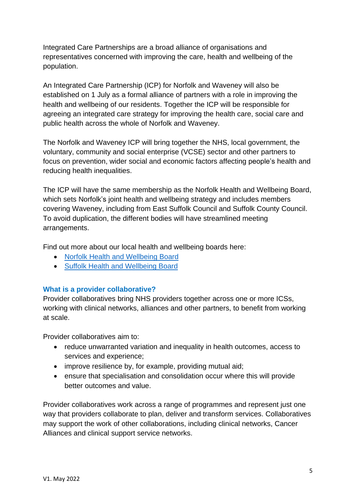Integrated Care Partnerships are a broad alliance of organisations and representatives concerned with improving the care, health and wellbeing of the population.

An Integrated Care Partnership (ICP) for Norfolk and Waveney will also be established on 1 July as a formal alliance of partners with a role in improving the health and wellbeing of our residents. Together the ICP will be responsible for agreeing an integrated care strategy for improving the health care, social care and public health across the whole of Norfolk and Waveney.

The Norfolk and Waveney ICP will bring together the NHS, local government, the voluntary, community and social enterprise (VCSE) sector and other partners to focus on prevention, wider social and economic factors affecting people's health and reducing health inequalities.

The ICP will have the same membership as the Norfolk Health and Wellbeing Board, which sets Norfolk's joint health and wellbeing strategy and includes members covering Waveney, including from East Suffolk Council and Suffolk County Council. To avoid duplication, the different bodies will have streamlined meeting arrangements.

Find out more about our local health and wellbeing boards here:

- [Norfolk Health and Wellbeing Board](https://www.norfolk.gov.uk/what-we-do-and-how-we-work/policy-performance-and-partnerships/partnerships/health-partnerships/health-and-wellbeing-board)
- [Suffolk Health and Wellbeing Board](https://www.suffolk.gov.uk/council-and-democracy/the-council-and-its-committees/committees/suffolk-health-and-wellbeing-board/)

# **What is a provider collaborative?**

Provider collaboratives bring NHS providers together across one or more ICSs, working with clinical networks, alliances and other partners, to benefit from working at scale.

Provider collaboratives aim to:

- reduce unwarranted variation and inequality in health outcomes, access to services and experience;
- improve resilience by, for example, providing mutual aid;
- ensure that specialisation and consolidation occur where this will provide better outcomes and value.

Provider collaboratives work across a range of programmes and represent just one way that providers collaborate to plan, deliver and transform services. Collaboratives may support the work of other collaborations, including clinical networks, Cancer Alliances and clinical support service networks.